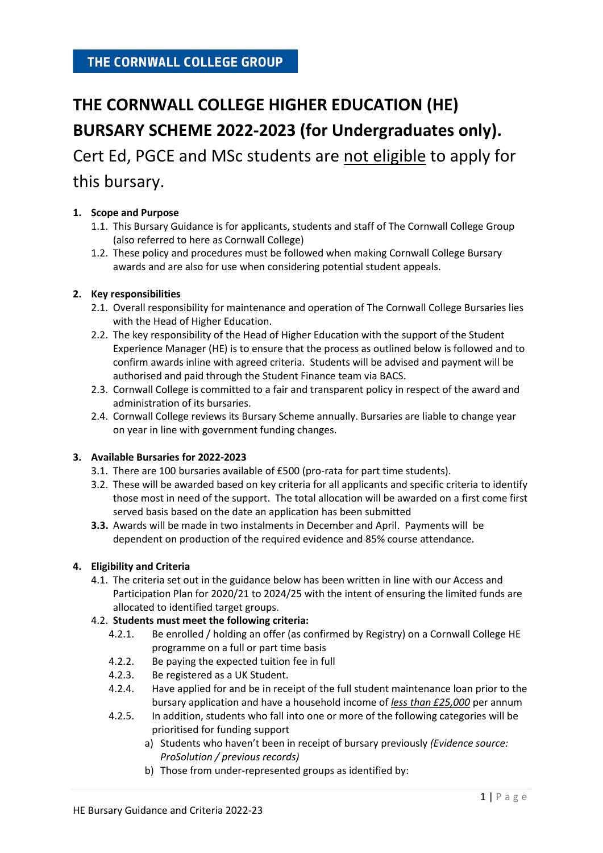# THE CORNWALL COLLEGE GROUP

# **THE CORNWALL COLLEGE HIGHER EDUCATION (HE) BURSARY SCHEME 2022-2023 (for Undergraduates only).**

Cert Ed, PGCE and MSc students are not eligible to apply for this bursary.

# **1. Scope and Purpose**

- 1.1. This Bursary Guidance is for applicants, students and staff of The Cornwall College Group (also referred to here as Cornwall College)
- 1.2. These policy and procedures must be followed when making Cornwall College Bursary awards and are also for use when considering potential student appeals.

# **2. Key responsibilities**

- 2.1. Overall responsibility for maintenance and operation of The Cornwall College Bursaries lies with the Head of Higher Education.
- 2.2. The key responsibility of the Head of Higher Education with the support of the Student Experience Manager (HE) is to ensure that the process as outlined below is followed and to confirm awards inline with agreed criteria. Students will be advised and payment will be authorised and paid through the Student Finance team via BACS.
- 2.3. Cornwall College is committed to a fair and transparent policy in respect of the award and administration of its bursaries.
- 2.4. Cornwall College reviews its Bursary Scheme annually. Bursaries are liable to change year on year in line with government funding changes.

### **3. Available Bursaries for 2022-2023**

- 3.1. There are 100 bursaries available of £500 (pro-rata for part time students).
- 3.2. These will be awarded based on key criteria for all applicants and specific criteria to identify those most in need of the support. The total allocation will be awarded on a first come first served basis based on the date an application has been submitted
- **3.3.** Awards will be made in two instalments in December and April. Payments will be dependent on production of the required evidence and 85% course attendance.

### **4. Eligibility and Criteria**

4.1. The criteria set out in the guidance below has been written in line with our Access and Participation Plan for 2020/21 to 2024/25 with the intent of ensuring the limited funds are allocated to identified target groups.

### 4.2. **Students must meet the following criteria:**

- 4.2.1. Be enrolled / holding an offer (as confirmed by Registry) on a Cornwall College HE programme on a full or part time basis
- 4.2.2. Be paying the expected tuition fee in full
- 4.2.3. Be registered as a UK Student.
- 4.2.4. Have applied for and be in receipt of the full student maintenance loan prior to the bursary application and have a household income of *less than £25,000* per annum
- 4.2.5. In addition, students who fall into one or more of the following categories will be prioritised for funding support
	- a) Students who haven't been in receipt of bursary previously *(Evidence source: ProSolution / previous records)*
	- b) Those from under-represented groups as identified by: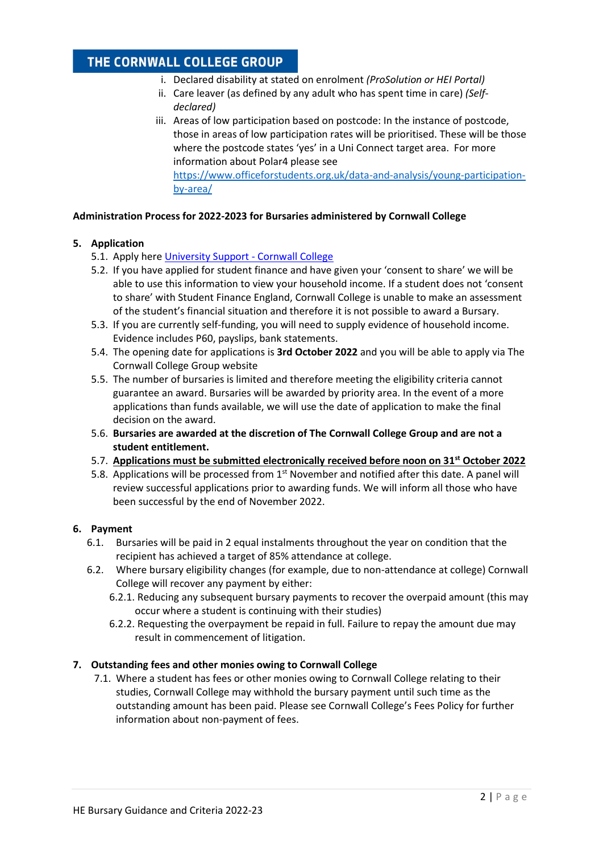# THE CORNWALL COLLEGE GROUP

- i. Declared disability at stated on enrolment *(ProSolution or HEI Portal)*
- ii. Care leaver (as defined by any adult who has spent time in care) *(Selfdeclared)*
- iii. Areas of low participation based on postcode: In the instance of postcode, those in areas of low participation rates will be prioritised. These will be those where the postcode states 'yes' in a Uni Connect target area. For more information about Polar4 please see [https://www.officeforstudents.org.uk/data-and-analysis/young-participation](https://www.officeforstudents.org.uk/data-and-analysis/young-participation-by-area/)[by-area/](https://www.officeforstudents.org.uk/data-and-analysis/young-participation-by-area/)

# **Administration Process for 2022-2023 for Bursaries administered by Cornwall College**

# **5. Application**

- 5.1. Apply here [University Support -](https://www.cornwall.ac.uk/university/university-support/) Cornwall College
- 5.2. If you have applied for student finance and have given your 'consent to share' we will be able to use this information to view your household income. If a student does not 'consent to share' with Student Finance England, Cornwall College is unable to make an assessment of the student's financial situation and therefore it is not possible to award a Bursary.
- 5.3. If you are currently self-funding, you will need to supply evidence of household income. Evidence includes P60, payslips, bank statements.
- 5.4. The opening date for applications is **3rd October 2022** and you will be able to apply via The Cornwall College Group website
- 5.5. The number of bursaries is limited and therefore meeting the eligibility criteria cannot guarantee an award. Bursaries will be awarded by priority area. In the event of a more applications than funds available, we will use the date of application to make the final decision on the award.
- 5.6. **Bursaries are awarded at the discretion of The Cornwall College Group and are not a student entitlement.**
- 5.7. **Applications must be submitted electronically received before noon on 31st October 2022**
- 5.8. Applications will be processed from 1<sup>st</sup> November and notified after this date. A panel will review successful applications prior to awarding funds. We will inform all those who have been successful by the end of November 2022.

### **6. Payment**

- 6.1. Bursaries will be paid in 2 equal instalments throughout the year on condition that the recipient has achieved a target of 85% attendance at college.
- 6.2. Where bursary eligibility changes (for example, due to non-attendance at college) Cornwall College will recover any payment by either:
	- 6.2.1. Reducing any subsequent bursary payments to recover the overpaid amount (this may occur where a student is continuing with their studies)
	- 6.2.2. Requesting the overpayment be repaid in full. Failure to repay the amount due may result in commencement of litigation.

### **7. Outstanding fees and other monies owing to Cornwall College**

7.1. Where a student has fees or other monies owing to Cornwall College relating to their studies, Cornwall College may withhold the bursary payment until such time as the outstanding amount has been paid. Please see Cornwall College's Fees Policy for further information about non-payment of fees.